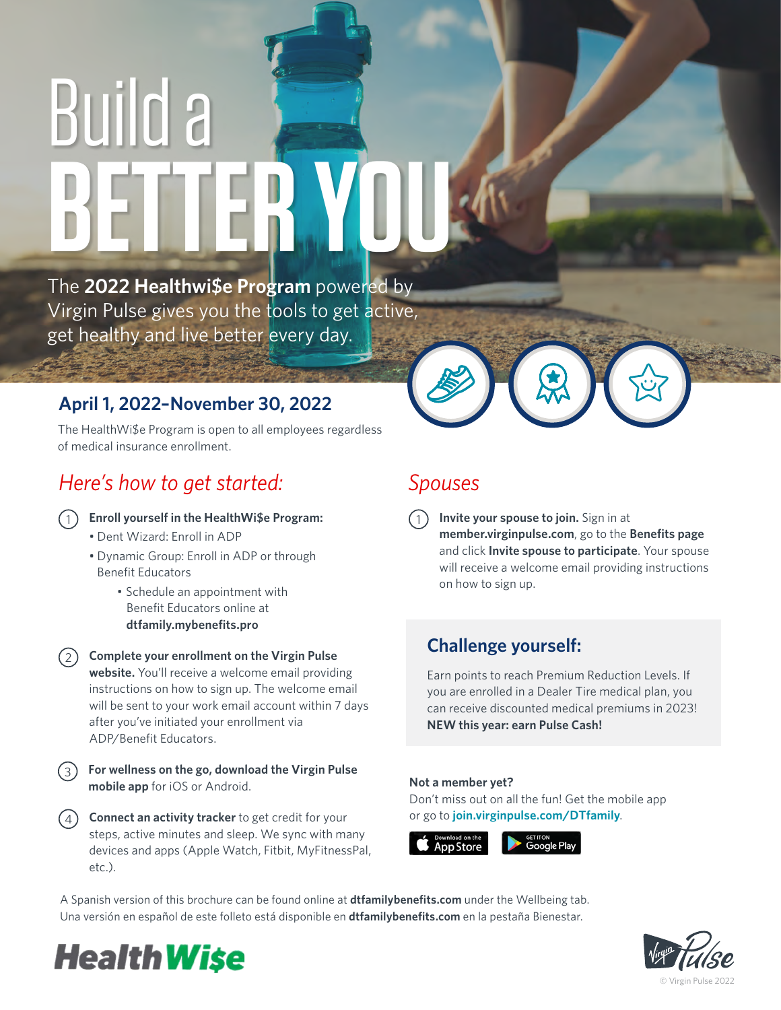# Build a **BETTER YOU**

The **2022 Healthwi\$e Program** powered by Virgin Pulse gives you the tools to get active, get healthy and live better every day.

## **April 1, 2022–November 30, 2022**

The HealthWi\$e Program is open to all employees regardless of medical insurance enrollment.

## *Here's how to get started: Spouses*

#### 1 **Enroll yourself in the HealthWi\$e Program:**

- Dent Wizard: Enroll in ADP
- Dynamic Group: Enroll in ADP or through Benefit Educators
	- Schedule an appointment with Benefit Educators online at **dtfamily.mybenefits.pro**

#### **Complete your enrollment on the Virgin Pulse**  2

**website.** You'll receive a welcome email providing instructions on how to sign up. The welcome email will be sent to your work email account within 7 days after you've initiated your enrollment via ADP/Benefit Educators.

- **For wellness on the go, download the Virgin Pulse mobile app** for iOS or Android. 3
	- **Connect an activity tracker** to get credit for your steps, active minutes and sleep. We sync with many devices and apps (Apple Watch, Fitbit, MyFitnessPal, etc.).



**Invite your spouse to join.** Sign in at **member.virginpulse.com**, go to the **Benefits page** and click **Invite spouse to participate**. Your spouse will receive a welcome email providing instructions on how to sign up. 1

## **Challenge yourself:**

Earn points to reach Premium Reduction Levels. If you are enrolled in a Dealer Tire medical plan, you can receive discounted medical premiums in 2023! **NEW this year: earn Pulse Cash!**

#### **Not a member yet?**

Don't miss out on all the fun! Get the mobile app or go to **join.virginpulse.com/DTfamily**.

**App Store** 

Google Play

A Spanish version of this brochure can be found online at **dtfamilybenefits.com** under the Wellbeing tab. Una versión en español de este folleto está disponible en **dtfamilybenefits.com** en la pestaña Bienestar.





4